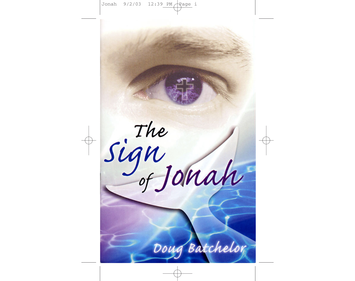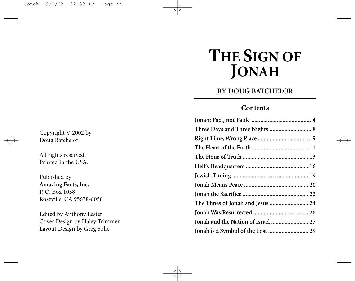# **THE SIGN OF JONAH**

# **BY DOUG BATCHELOR**

#### **Contents**

| The Times of Jonah and Jesus  24   |  |
|------------------------------------|--|
|                                    |  |
| Jonah and the Nation of Israel  27 |  |
| Jonah is a Symbol of the Lost  29  |  |

Copyright © 2002 by Doug Batchelor

All rights reserved. Printed in the USA.

Published by **Amazing Facts, Inc.** P. O. Box 1058 Roseville, CA 95678-8058

Edited by Anthony Lester Cover Design by Haley Trimmer Layout Design by Greg Solie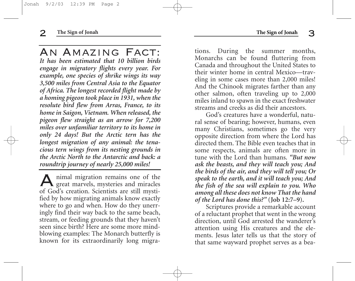An Amazing Fact: *It has been estimated that 10 billion birds engage in migratory flights every year. For example, one species of shrike wings its way 3,500 miles from Central Asia to the Equator of Africa. The longest recorded flight made by a homing pigeon took place in 1931, when the resolute bird flew from Arras, France, to its home in Saigon, Vietnam. When released, the pigeon flew straight as an arrow for 7,200 miles over unfamiliar territory to its home in only 24 days! But the Arctic tern has the longest migration of any animal: the tenacious tern wings from its nesting grounds in the Arctic North to the Antarctic and back: a roundtrip journey of nearly 25,000 miles!*

Animal migration remains one of the great marvels, mysteries and miracles of God's creation. Scientists are still mystified by how migrating animals know exactly where to go and when. How do they unerringly find their way back to the same beach, stream, or feeding grounds that they haven't seen since birth? Here are some more mindblowing examples: The Monarch butterfly is known for its extraordinarily long migrations. During the summer months, Monarchs can be found fluttering from Canada and throughout the United States to their winter home in central Mexico—traveling in some cases more than 2,000 miles! And the Chinook migrates farther than any other salmon, often traveling up to 2,000 miles inland to spawn in the exact freshwater streams and creeks as did their ancestors.

God's creatures have a wonderful, natural sense of bearing; however, humans, even many Christians, sometimes go the very opposite direction from where the Lord has directed them. The Bible even teaches that in some respects, animals are often more in tune with the Lord than humans. *"But now ask the beasts, and they will teach you; And the birds of the air, and they will tell you; Or speak to the earth, and it will teach you; And the fish of the sea will explain to you. Who among all these does not know That the hand of the Lord has done this?"* **(Job 12:7–9).**

Scriptures provide a remarkable account of a reluctant prophet that went in the wrong direction, until God arrested the wanderer's attention using His creatures and the elements. Jesus later tells us that the story of that same wayward prophet serves as a bea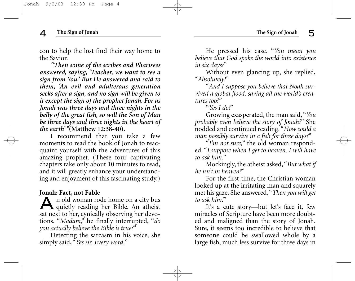con to help the lost find their way home to the Savior.

*"Then some of the scribes and Pharisees answered, saying, 'Teacher, we want to see a sign from You.' But He answered and said to them, 'An evil and adulterous generation seeks after a sign, and no sign will be given to it except the sign of the prophet Jonah. For as Jonah was three days and three nights in the belly of the great fish, so will the Son of Man be three days and three nights in the heart of the earth'"***(Matthew 12:38-40).**

I recommend that you take a few moments to read the book of Jonah to reacquaint yourself with the adventures of this amazing prophet. (These four captivating chapters take only about 10 minutes to read, and it will greatly enhance your understanding and enjoyment of this fascinating study.)

#### **Jonah: Fact, not Fable**

An old woman rode home on a city bus quietly reading her Bible. An atheist sat next to her, cynically observing her devotions. "*Madam*," he finally interrupted, "*do you actually believe the Bible is true?*"

Detecting the sarcasm in his voice, she simply said, "*Yes sir. Every word.*"

He pressed his case. "*You mean you believe that God spoke the world into existence in six days?*"

Without even glancing up, she replied, "*Absolutely!*"

"*And I suppose you believe that Noah survived a global flood, saving all the world's creatures too?*"

"*Yes I do!*"

Growing exasperated, the man said, "*You probably even believe the story of Jonah?*" She nodded and continued reading. "*How could a man possibly survive in a fish for three days?*"

"*I'm not sure,*" the old woman responded. "*I suppose when I get to heaven, I will have to ask him.*"

Mockingly, the atheist asked, "*But what if he isn't in heaven?*"

For the first time, the Christian woman looked up at the irritating man and squarely met his gaze. She answered,"*Then you will get to ask him!*"

It's a cute story—but let's face it, few miracles of Scripture have been more doubted and maligned than the story of Jonah. Sure, it seems too incredible to believe that someone could be swallowed whole by a large fish, much less survive for three days in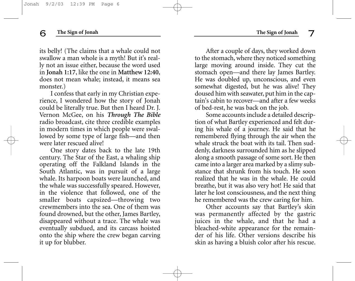its belly! (The claims that a whale could not swallow a man whole is a myth! But it's really not an issue either, because the word used in **Jonah 1:17**, like the one in **Matthew 12:40**, does not mean whale; instead, it means sea monster.)

I confess that early in my Christian experience, I wondered how the story of Jonah could be literally true. But then I heard Dr. J. Vernon McGee, on his *Through The Bible* radio broadcast, cite three credible examples in modern times in which people were swallowed by some type of large fish—and then were later rescued alive!

One story dates back to the late 19th century. The Star of the East, a whaling ship operating off the Falkland Islands in the South Atlantic, was in pursuit of a large whale. Its harpoon boats were launched, and the whale was successfully speared. However, in the violence that followed, one of the smaller boats capsized—throwing two crewmembers into the sea. One of them was found drowned, but the other, James Bartley, disappeared without a trace. The whale was eventually subdued, and its carcass hoisted onto the ship where the crew began carving it up for blubber.

After a couple of days, they worked down to the stomach, where they noticed something large moving around inside. They cut the stomach open—and there lay James Bartley. He was doubled up, unconscious, and even somewhat digested, but he was alive! They doused him with seawater, put him in the captain's cabin to recover—and after a few weeks of bed-rest, he was back on the job.

Some accounts include a detailed description of what Bartley experienced and felt during his whale of a journey. He said that he remembered flying through the air when the whale struck the boat with its tail. Then suddenly, darkness surrounded him as he slipped along a smooth passage of some sort. He then came into a larger area marked by a slimy substance that shrunk from his touch. He soon realized that he was in the whale. He could breathe, but it was also very hot! He said that later he lost consciousness, and the next thing he remembered was the crew caring for him.

Other accounts say that Bartley's skin was permanently affected by the gastric juices in the whale, and that he had a bleached-white appearance for the remainder of his life. Other versions describe his skin as having a bluish color after his rescue.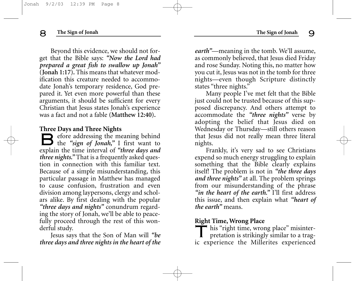Beyond this evidence, we should not forget that the Bible says: *"Now the Lord had prepared a great fish to swallow up Jonah"* **(Jonah 1:17).** This means that whatever modification this creature needed to accommodate Jonah's temporary residence, God prepared it. Yet even more powerful than these arguments, it should be sufficient for every Christian that Jesus states Jonah's experience was a fact and not a fable **(Matthew 12:40).**

#### **Three Days and Three Nights**

Before addressing the meaning behind the *"sign of Jonah,"* I first want to explain the time interval of *"three days and three nights."* That is a frequently asked question in connection with this familiar text. Because of a simple misunderstanding, this particular passage in Matthew has managed to cause confusion, frustration and even division among laypersons, clergy and scholars alike. By first dealing with the popular *"three days and nights"* conundrum regarding the story of Jonah, we'll be able to peacefully proceed through the rest of this wonderful study.

Jesus says that the Son of Man will *"be three days and three nights in the heart of the* *earth"*—meaning in the tomb. We'll assume, as commonly believed, that Jesus died Friday and rose Sunday. Noting this, no matter how you cut it, Jesus was not in the tomb for three nights—even though Scripture distinctly states "three nights."

Many people I've met felt that the Bible just could not be trusted because of this supposed discrepancy. And others attempt to accommodate the *"three nights"* verse by adopting the belief that Jesus died on Wednesday or Thursday—still others reason that Jesus did not really mean three literal nights.

Frankly, it's very sad to see Christians expend so much energy struggling to explain something that the Bible clearly explains itself! The problem is not in *"the three days and three nights"* at all. The problem springs from our misunderstanding of the phrase *"in the heart of the earth."* I'll first address this issue, and then explain what *"heart of the earth"* means.

#### **Right Time, Wrong Place**

This "right time, wrong place" misinterpretation is strikingly similar to a tragic experience the Millerites experienced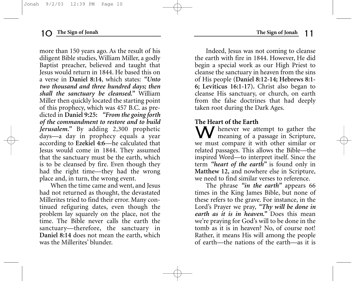more than 150 years ago. As the result of his diligent Bible studies, William Miller, a godly Baptist preacher, believed and taught that Jesus would return in 1844. He based this on a verse in **Daniel 8:14**, which states: *"Unto two thousand and three hundred days; then shall the sanctuary be cleansed."* William Miller then quickly located the starting point of this prophecy, which was 457 B.C. as predicted in **Daniel 9:25:** *"From the going forth of the commandment to restore and to build Jerusalem."* By adding 2,300 prophetic days—a day in prophecy equals a year according to **Ezekiel 4:6**—he calculated that Jesus would come in 1844. They assumed that the sanctuary must be the earth, which is to be cleansed by fire. Even though they had the right time—they had the wrong place and, in turn, the wrong event.

When the time came and went, and Jesus had not returned as thought, the devastated Millerites tried to find their error. Many continued refiguring dates, even though the problem lay squarely on the place, not the time. The Bible never calls the earth the sanctuary—therefore, the sanctuary in **Daniel 8:14** does not mean the earth, which was the Millerites' blunder.

Indeed, Jesus was not coming to cleanse the earth with fire in 1844. However, He did begin a special work as our High Priest to cleanse the sanctuary in heaven from the sins of His people **(Daniel 8:12-14; Hebrews 8:1- 6; Leviticus 16:1-17).** Christ also began to cleanse His sanctuary, or church, on earth from the false doctrines that had deeply taken root during the Dark Ages.

## **The Heart of the Earth**

W henever we attempt to gather the meaning of a passage in Scripture, we must compare it with other similar or related passages. This allows the Bible—the inspired Word—to interpret itself. Since the term *"heart of the earth"* is found only in **Matthew 12,** and nowhere else in Scripture, we need to find similar verses to reference.

The phrase *"in the earth"* appears 66 times in the King James Bible, but none of these refers to the grave. For instance, in the Lord's Prayer we pray, *"Thy will be done in earth as it is in heaven."* Does this mean we're praying for God's will to be done in the tomb as it is in heaven? No, of course not! Rather, it means His will among the people of earth—the nations of the earth—as it is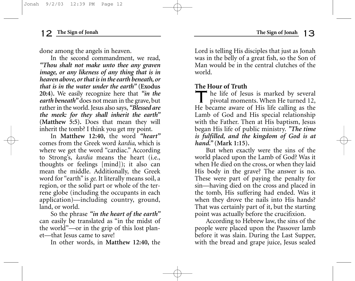done among the angels in heaven.

In the second commandment, we read, *"Thou shalt not make unto thee any graven image, or any likeness of any thing that is in heaven above, or that is in the earth beneath, or that is in the water under the earth"* **(Exodus 20:4).** We easily recognize here that *"in the earth beneath"* does not mean in the grave, but rather in the world. Jesus also says, *"Blessed are the meek: for they shall inherit the earth"* **(Matthew 5:5).** Does that mean they will inherit the tomb? I think you get my point.

In **Matthew 12:40,** the word *"heart"* comes from the Greek word *kardia*, which is where we get the word "cardiac." According to Strong's, *kardia* means the heart (i.e., thoughts or feelings [mind]); it also can mean the middle. Additionally, the Greek word for "earth" is *ge*. It literally means soil, a region, or the solid part or whole of the terrene globe (including the occupants in each application)—including country, ground, land, or world.

So the phrase *"in the heart of the earth"* can easily be translated as "in the midst of the world"—or in the grip of this lost planet—that Jesus came to save!

In other words, in **Matthew 12:40,** the

Lord is telling His disciples that just as Jonah was in the belly of a great fish, so the Son of Man would be in the central clutches of the world.

### **The Hour of Truth**

The life of Jesus is marked by several pivotal moments. When He turned 12, He became aware of His life calling as the Lamb of God and His special relationship with the Father. Then at His baptism, Jesus began His life of public ministry. *"The time is fulfilled, and the kingdom of God is at hand."* **(Mark 1:15).**

But when exactly were the sins of the world placed upon the Lamb of God? Was it when He died on the cross, or when they laid His body in the grave? The answer is no. These were part of paying the penalty for sin—having died on the cross and placed in the tomb, His suffering had ended. Was it when they drove the nails into His hands? That was certainly part of it, but the starting point was actually before the crucifixion.

According to Hebrew law, the sins of the people were placed upon the Passover lamb before it was slain. During the Last Supper, with the bread and grape juice, Jesus sealed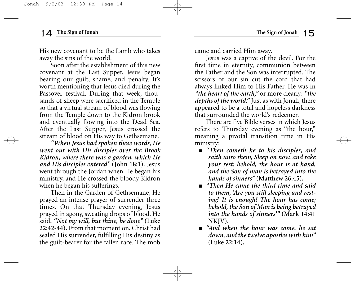His new covenant to be the Lamb who takes away the sins of the world.

Soon after the establishment of this new covenant at the Last Supper, Jesus began bearing our guilt, shame, and penalty. It's worth mentioning that Jesus died during the Passover festival. During that week, thousands of sheep were sacrificed in the Temple so that a virtual stream of blood was flowing from the Temple down to the Kidron brook and eventually flowing into the Dead Sea. After the Last Supper, Jesus crossed the stream of blood on His way to Gethsemane.

*"When Jesus had spoken these words, He went out with His disciples over the Brook Kidron, where there was a garden, which He and His disciples entered"* **(John 18:1).** Jesus went through the Jordan when He began his ministry, and He crossed the bloody Kidron when he began his sufferings.

Then in the Garden of Gethsemane, He prayed an intense prayer of surrender three times. On that Thursday evening, Jesus prayed in agony, sweating drops of blood. He said, *"Not my will, but thine, be done"* **(Luke 22:42-44).** From that moment on, Christ had sealed His surrender, fulfilling His destiny as the guilt-bearer for the fallen race. The mob came and carried Him away.

Jesus was a captive of the devil. For the first time in eternity, communion between the Father and the Son was interrupted. The scissors of our sin cut the cord that had always linked Him to His Father. He was in *"the heart of the earth,"* or more clearly: *"the depths of the world."* Just as with Jonah, there appeared to be a total and hopeless darkness that surrounded the world's redeemer.

There are five Bible verses in which Jesus refers to Thursday evening as "the hour," meaning a pivotal transition time in His ministry:

- *"Then cometh he to his disciples, and saith unto them, Sleep on now, and take your rest: behold, the hour is at hand, and the Son of man is betrayed into the hands of sinners"* **(Matthew 26:45).**
- *"Then He came the third time and said to them, 'Are you still sleeping and resting? It is enough! The hour has come; behold, the Son of Man is being betrayed into the hands of sinners'"* **(Mark 14:41 NKJV).**
- *"And when the hour was come, he sat down, and the twelve apostles with him"* **(Luke 22:14).**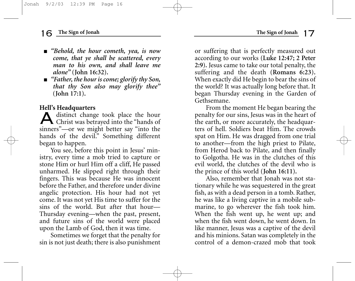- *"Behold, the hour cometh, yea, is now come, that ye shall be scattered, every man to his own, and shall leave me alone"* **(John 16:32).**
- *"Father, the hour is come; glorify thy Son, that thy Son also may glorify thee"* **(John 17:1).**

#### **Hell's Headquarters**

Adistinct change took place the hour Christ was betrayed into the "hands of sinners"—or we might better say "into the hands of the devil." Something different began to happen.

You see, before this point in Jesus' ministry, every time a mob tried to capture or stone Him or hurl Him off a cliff, He passed unharmed. He slipped right through their fingers. This was because He was innocent before the Father, and therefore under divine angelic protection. His hour had not yet come. It was not yet His time to suffer for the sins of the world. But after that hour— Thursday evening—when the past, present, and future sins of the world were placed upon the Lamb of God, then it was time.

Sometimes we forget that the penalty for sin is not just death; there is also punishment or suffering that is perfectly measured out according to our works **(Luke 12:47; 2 Peter 2:9).** Jesus came to take our total penalty, the suffering and the death **(Romans 6:23).** When exactly did He begin to bear the sins of the world? It was actually long before that. It began Thursday evening in the Garden of Gethsemane.

From the moment He began bearing the penalty for our sins, Jesus was in the heart of the earth, or more accurately, the headquarters of hell. Soldiers beat Him. The crowds spat on Him. He was dragged from one trial to another—from the high priest to Pilate, from Herod back to Pilate, and then finally to Golgotha. He was in the clutches of this evil world, the clutches of the devil who is the prince of this world **(John 16:11).**

Also, remember that Jonah was not stationary while he was sequestered in the great fish, as with a dead person in a tomb. Rather, he was like a living captive in a mobile submarine, to go wherever the fish took him. When the fish went up, he went up; and when the fish went down, he went down. In like manner, Jesus was a captive of the devil and his minions. Satan was completely in the control of a demon-crazed mob that took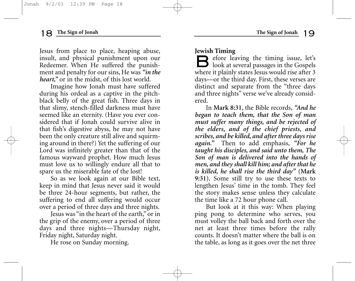Jesus from place to place, heaping abuse, insult, and physical punishment upon our Redeemer. When He suffered the punishment and penalty for our sins, He was *"in the heart,"* or in the midst, of this lost world.

Imagine how Jonah must have suffered during his ordeal as a captive in the pitchblack belly of the great fish. Three days in that slimy, stench-filled darkness must have seemed like an eternity. (Have you ever considered that if Jonah could survive alive in that fish's digestive abyss, he may not have been the only creature still alive and squirming around in there?) Yet the suffering of our Lord was infinitely greater than that of the famous wayward prophet. How much Jesus must love us to willingly endure all that to spare us the miserable fate of the lost!

So as we look again at our Bible text, keep in mind that Jesus never said it would be three 24-hour segments, but rather, the suffering to end all suffering would occur over a period of three days and three nights.

Jesus was "in the heart of the earth," or in the grip of the enemy, over a period of three days and three nights—Thursday night, Friday night, Saturday night.

He rose on Sunday morning.

#### **Jewish Timing**

 $\Box$  efore leaving the timing issue, let's  $\Box$  look at several passages in the Gospels where it plainly states Jesus would rise after 3 days—or the third day. First, these verses are distinct and separate from the "three days and three nights" verse we've already considered.

In **Mark 8:31**, the Bible records, *"And he began to teach them, that the Son of man must suffer many things, and be rejected of the elders, and of the chief priests, and scribes, and be killed, and after three days rise again."* Then to add emphasis, *"For he taught his disciples, and said unto them, The Son of man is delivered into the hands of men, and they shall kill him; and after that he is killed, he shall rise the third day"* **(Mark 9:31).** Some still try to use these texts to lengthen Jesus' time in the tomb. They feel the story makes sense unless they calculate the time like a 72 hour phone call.

But look at it this way: When playing ping pong to determine who serves, you must volley the ball back and forth over the net at least three times before the rally counts. It doesn't matter where the ball is on the table, as long as it goes over the net three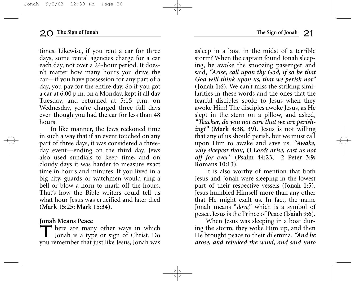times. Likewise, if you rent a car for three days, some rental agencies charge for a car each day, not over a 24-hour period. It doesn't matter how many hours you drive the car—if you have possession for any part of a day, you pay for the entire day. So if you got a car at 6:00 p.m. on a Monday, kept it all day Tuesday, and returned at 5:15 p.m. on Wednesday, you're charged three full days even though you had the car for less than 48 hours!

In like manner, the Jews reckoned time in such a way that if an event touched on any part of three days, it was considered a threeday event—ending on the third day. Jews also used sundials to keep time, and on cloudy days it was harder to measure exact time in hours and minutes. If you lived in a big city, guards or watchmen would ring a bell or blow a horn to mark off the hours. That's how the Bible writers could tell us what hour Jesus was crucified and later died **(Mark 15:25; Mark 15:34).**

### **Jonah Means Peace**

There are many other ways in which Jonah is a type or sign of Christ. Do you remember that just like Jesus, Jonah was

asleep in a boat in the midst of a terrible storm? When the captain found Jonah sleeping, he awoke the snoozing passenger and said, *"Arise, call upon thy God, if so be that God will think upon us, that we perish not"* **(Jonah 1:6).** We can't miss the striking similarities in these words and the ones that the fearful disciples spoke to Jesus when they awoke Him! The disciples awoke Jesus, as He slept in the stern on a pillow, and asked, *"Teacher, do you not care that we are perishing?"* **(Mark 4:38, 39).** Jesus is not willing that any of us should perish, but we must call upon Him to awake and save us. *"Awake, why sleepest thou, O Lord? arise, cast us not off for ever"* **(Psalm 44:23; 2 Peter 3:9; Romans 10:13).**

It is also worthy of mention that both Jesus and Jonah were sleeping in the lowest part of their respective vessels **(Jonah 1:5).** Jesus humbled Himself more than any other that He might exalt us. In fact, the name Jonah means "*dove*," which is a symbol of peace. Jesus is the Prince of Peace **(Isaiah 9:6).**

When Jesus was sleeping in a boat during the storm, they woke Him up, and then He brought peace to their dilemma. *"And he arose, and rebuked the wind, and said unto*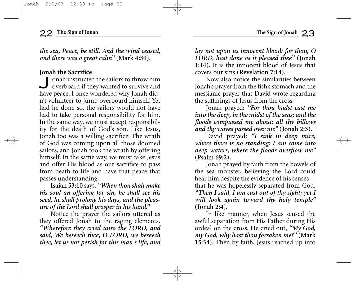*the sea, Peace, be still. And the wind ceased, and there was a great calm"* **(Mark 4:39).**

**Jonah the Sacrifice**<br> **I** onah instructed the sailors to throw him Jonah instructed the sailors to throw him overboard if they wanted to survive and have peace. I once wondered why Jonah didn't volunteer to jump overboard himself. Yet had he done so, the sailors would not have had to take personal responsibility for him. In the same way, we must accept responsibility for the death of God's son. Like Jesus, Jonah too was a willing sacrifice. The wrath of God was coming upon all those doomed sailors, and Jonah took the wrath by offering himself. In the same way, we must take Jesus and offer His blood as our sacrifice to pass from death to life and have that peace that passes understanding.

**Isaiah 53:10** says, *"When thou shalt make his soul an offering for sin, he shall see his seed, he shall prolong his days, and the pleasure of the Lord shall prosper in his hand."*

Notice the prayer the sailors uttered as they offered Jonah to the raging elements. *"Wherefore they cried unto the LORD, and said, We beseech thee, O LORD, we beseech thee, let us not perish for this man's life, and* *lay not upon us innocent blood: for thou, O LORD, hast done as it pleased thee"* **(Jonah 1:14).** It is the innocent blood of Jesus that covers our sins **(Revelation 7:14).**

Now also notice the similarities between Jonah's prayer from the fish's stomach and the messianic prayer that David wrote regarding the sufferings of Jesus from the cross.

Jonah prayed: *"For thou hadst cast me into the deep, in the midst of the seas; and the floods compassed me about: all thy billows and thy waves passed over me"* **(Jonah 2:3).**

David prayed: *"I sink in deep mire, where there is no standing: I am come into deep waters, where the floods overflow me"* **(Psalm 69:2).**

Jonah prayed by faith from the bowels of the sea monster, believing the Lord could hear him despite the evidence of his senses that he was hopelessly separated from God. *"Then I said, I am cast out of thy sight; yet I will look again toward thy holy temple"* **(Jonah 2:4).**

In like manner, when Jesus sensed the awful separation from His Father during His ordeal on the cross, He cried out, *"My God, my God, why hast thou forsaken me?"* **(Mark 15:34).** Then by faith, Jesus reached up into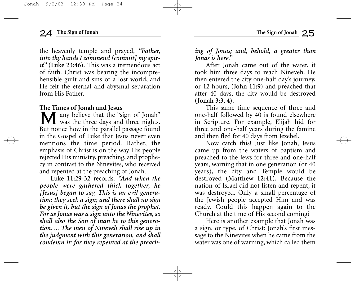the heavenly temple and prayed, *"Father, into thy hands I commend [commit] my spirit"* **(Luke 23:46).** This was a tremendous act of faith. Christ was bearing the incomprehensible guilt and sins of a lost world, and He felt the eternal and abysmal separation from His Father.

#### **The Times of Jonah and Jesus**

Many believe that the "sign of Jonah" was the three days and three nights. But notice how in the parallel passage found in the Gospel of Luke that Jesus never even mentions the time period. Rather, the emphasis of Christ is on the way His people rejected His ministry, preaching, and prophecy in contrast to the Ninevites, who received and repented at the preaching of Jonah.

**Luke 11:29-32** records: *"And when the people were gathered thick together, he [Jesus] began to say, This is an evil generation: they seek a sign; and there shall no sign be given it, but the sign of Jonas the prophet. For as Jonas was a sign unto the Ninevites, so shall also the Son of man be to this generation. ... The men of Nineveh shall rise up in the judgment with this generation, and shall condemn it: for they repented at the preach-* *ing of Jonas; and, behold, a greater than Jonas is here."*

After Jonah came out of the water, it took him three days to reach Nineveh. He then entered the city one-half day's journey, or 12 hours, **(John 11:9)** and preached that after 40 days, the city would be destroyed **(Jonah 3:3, 4).**

This same time sequence of three and one-half followed by 40 is found elsewhere in Scripture. For example, Elijah hid for three and one-half years during the famine and then fled for 40 days from Jezebel.

Now catch this! Just like Jonah, Jesus came up from the waters of baptism and preached to the Jews for three and one-half years, warning that in one generation (or 40 years), the city and Temple would be destroyed **(Matthew 12:41).** Because the nation of Israel did not listen and repent, it was destroyed. Only a small percentage of the Jewish people accepted Him and was ready. Could this happen again to the Church at the time of His second coming?

Here is another example that Jonah was a sign, or type, of Christ: Jonah's first message to the Ninevites when he came from the water was one of warning, which called them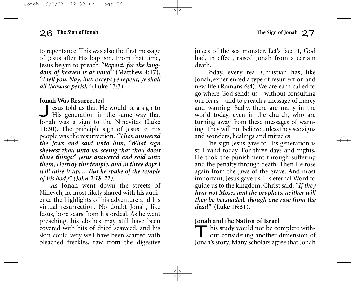to repentance. This was also the first message of Jesus after His baptism. From that time, Jesus began to preach *"Repent: for the kingdom of heaven is at hand"* **(Matthew 4:17).** *"I tell you, Nay: but, except ye repent, ye shall all likewise perish"* **(Luke 13:3).**

#### **Jonah Was Resurrected**

I esus told us that He would be a sign to His generation in the same way that Jonah was a sign to the Ninevites **(Luke 11:30).** The principle sign of Jesus to His people was the resurrection. *"Then answered the Jews and said unto him, 'What sign shewest thou unto us, seeing that thou doest these things?' Jesus answered and said unto them, Destroy this temple, and in three days I will raise it up. ... But he spake of the temple of his body" (John 2:18-21).*

As Jonah went down the streets of Nineveh, he most likely shared with his audience the highlights of his adventure and his virtual resurrection. No doubt Jonah, like Jesus, bore scars from his ordeal. As he went preaching, his clothes may still have been covered with bits of dried seaweed, and his skin could very well have been scarred with bleached freckles, raw from the digestive juices of the sea monster. Let's face it, God had, in effect, raised Jonah from a certain death.

Today, every real Christian has, like Jonah, experienced a type of resurrection and new life **(Romans 6:4).** We are each called to go where God sends us—without consulting our fears—and to preach a message of mercy and warning. Sadly, there are many in the world today, even in the church, who are turning away from these messages of warning. They will not believe unless they see signs and wonders, healings and miracles.

The sign Jesus gave to His generation is still valid today. For three days and nights, He took the punishment through suffering and the penalty through death. Then He rose again from the jaws of the grave. And most important, Jesus gave us His eternal Word to guide us to the kingdom. Christ said, *"If they hear not Moses and the prophets, neither will they be persuaded, though one rose from the dead"* **(Luke 16:31).**

### **Jonah and the Nation of Israel**

This study would not be complete without considering another dimension of Jonah's story. Many scholars agree that Jonah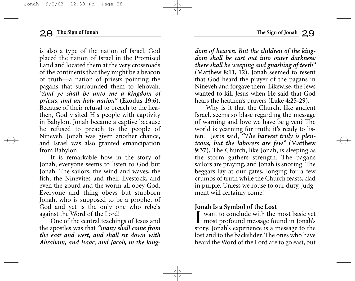is also a type of the nation of Israel. God placed the nation of Israel in the Promised Land and located them at the very crossroads of the continents that they might be a beacon of truth—a nation of priests pointing the pagans that surrounded them to Jehovah. *"And ye shall be unto me a kingdom of priests, and an holy nation"* **(Exodus 19:6).** Because of their refusal to preach to the heathen, God visited His people with captivity in Babylon. Jonah became a captive because he refused to preach to the people of Nineveh. Jonah was given another chance, and Israel was also granted emancipation from Babylon.

It is remarkable how in the story of Jonah, everyone seems to listen to God but Jonah. The sailors, the wind and waves, the fish, the Ninevites and their livestock, and even the gourd and the worm all obey God. Everyone and thing obeys but stubborn Jonah, who is supposed to be a prophet of God and yet is the only one who rebels against the Word of the Lord!

One of the central teachings of Jesus and the apostles was that *"many shall come from the east and west, and shall sit down with Abraham, and Isaac, and Jacob, in the king-* *dom of heaven. But the children of the kingdom shall be cast out into outer darkness: there shall be weeping and gnashing of teeth"* **(Matthew 8:11, 12).** Jonah seemed to resent that God heard the prayer of the pagans in Nineveh and forgave them. Likewise, the Jews wanted to kill Jesus when He said that God hears the heathen's prayers **(Luke 4:25-29).**

Why is it that the Church, like ancient Israel, seems so blasé regarding the message of warning and love we have be given? The world is yearning for truth; it's ready to listen. Jesus said, *"The harvest truly is plenteous, but the laborers are few"* **(Matthew 9:37).** The Church, like Jonah, is sleeping as the storm gathers strength. The pagans sailors are praying, and Jonah is snoring. The beggars lay at our gates, longing for a few crumbs of truth while the Church feasts, clad in purple. Unless we rouse to our duty, judgment will certainly come!

#### **Jonah Is a Symbol of the Lost**

I want to conclude with the most basic yet **I** most profound message found in Jonah's story. Jonah's experience is a message to the lost and to the backslider. The ones who have heard the Word of the Lord are to go east, but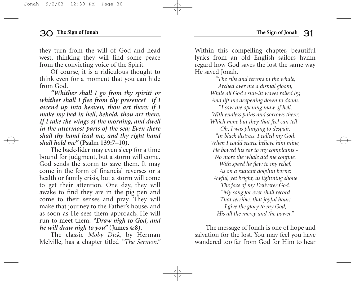they turn from the will of God and head west, thinking they will find some peace from the convicting voice of the Spirit.

Of course, it is a ridiculous thought to think even for a moment that you can hide from God.

*"Whither shall I go from thy spirit? or whither shall I flee from thy presence? If I ascend up into heaven, thou art there: if I make my bed in hell, behold, thou art there. If I take the wings of the morning, and dwell in the uttermost parts of the sea; Even there shall thy hand lead me, and thy right hand shall hold me"* **(Psalm 139:7–10).**

The backslider may even sleep for a time bound for judgment, but a storm will come. God sends the storm to save them. It may come in the form of financial reverses or a health or family crisis, but a storm will come to get their attention. One day, they will awake to find they are in the pig pen and come to their senses and pray. They will make that journey to the Father's house, and as soon as He sees them approach, He will run to meet them. *"Draw nigh to God, and he will draw nigh to you"* **(James 4:8).**

The classic *Moby Dick,* by Herman Melville, has a chapter titled *"The Sermon."* Within this compelling chapter, beautiful lyrics from an old English sailors hymn regard how God saves the lost the same way He saved Jonah.

*"The ribs and terrors in the whale, Arched over me a dismal gloom, While all God's sun-lit waves rolled by, And lift me deepening down to doom.*

*"I saw the opening maw of hell, With endless pains and sorrows there; Which none but they that feel can tell -* 

*Oh, I was plunging to despair. "In black distress, I called my God, When I could scarce believe him mine, He bowed his ear to my complaints - No more the whale did me confine. With speed he flew to my relief, As on a radiant dolphin borne; Awful, yet bright, as lightning shone The face of my Deliverer God. "My song for ever shall record That terrible, that joyful hour; I give the glory to my God, His all the mercy and the power."*

The message of Jonah is one of hope and salvation for the lost. You may feel you have wandered too far from God for Him to hear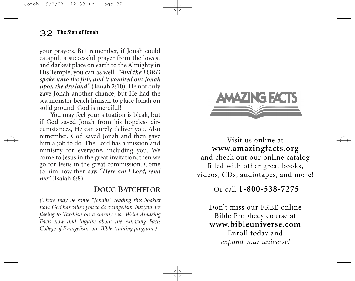your prayers. But remember, if Jonah could catapult a successful prayer from the lowest and darkest place on earth to the Almighty in His Temple, you can as well! *"And the LORD spake unto the fish, and it vomited out Jonah upon the dry land"* **(Jonah 2:10).** He not only gave Jonah another chance, but He had the sea monster beach himself to place Jonah on solid ground. God is merciful!

You may feel your situation is bleak, but if God saved Jonah from his hopeless circumstances, He can surely deliver you. Also remember, God saved Jonah and then gave him a job to do. The Lord has a mission and ministry for everyone, including you. We come to Jesus in the great invitation, then we go for Jesus in the great commission. Come to him now then say, *"Here am I Lord, send me"* **(Isaiah 6:8).**

# **DOUG BATCHELOR**

*(There may be some "Jonahs" reading this booklet now. God has called you to do evangelism, but you are fleeing to Tarshish on a stormy sea. Write Amazing Facts now and inquire about the Amazing Facts College of Evangelism, our Bible-training program.)*



Visit us online at **www.amazingfacts.org** and check out our online catalog filled with other great books, videos, CDs, audiotapes, and more!

# Or call **1-800-538-7275**

Don't miss our FREE online Bible Prophecy course at **www.bibleuniverse.com** Enroll today and

*expand your universe!*